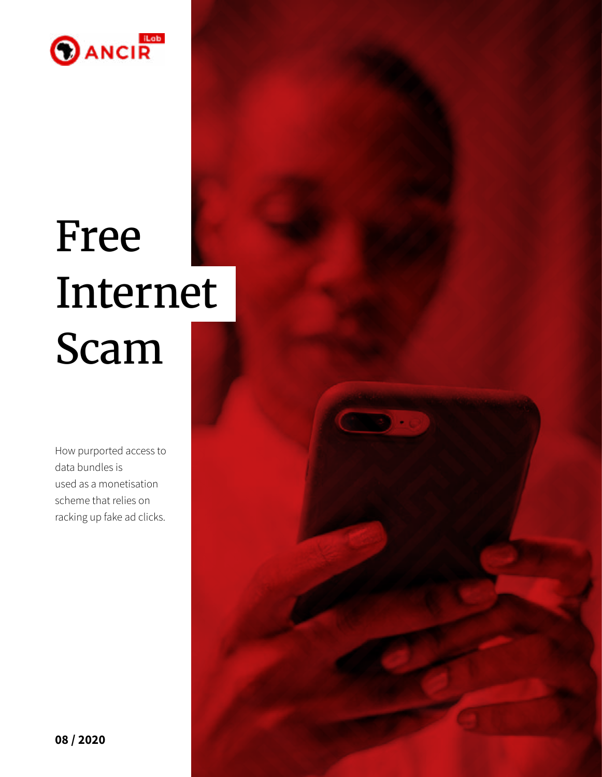

# Free Internet Scam

How purported access to data bundles is used as a monetisation scheme that relies on racking up fake ad clicks.

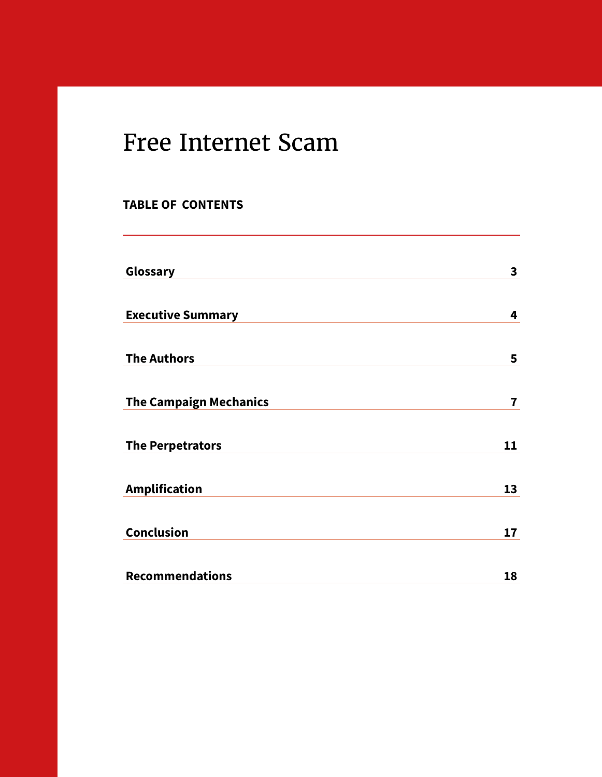### Free Internet Scam

### **TABLE OF CONTENTS**

| Glossary                      | $\mathbf{3}$            |
|-------------------------------|-------------------------|
|                               |                         |
| <b>Executive Summary</b>      | 4                       |
|                               |                         |
| <b>The Authors</b>            | 5                       |
|                               |                         |
| <b>The Campaign Mechanics</b> | $\overline{\mathbf{r}}$ |
|                               |                         |
| <b>The Perpetrators</b>       | 11                      |
|                               |                         |
| <b>Amplification</b>          | 13                      |
|                               |                         |
| <b>Conclusion</b>             | 17                      |
|                               |                         |
| <b>Recommendations</b>        | 18                      |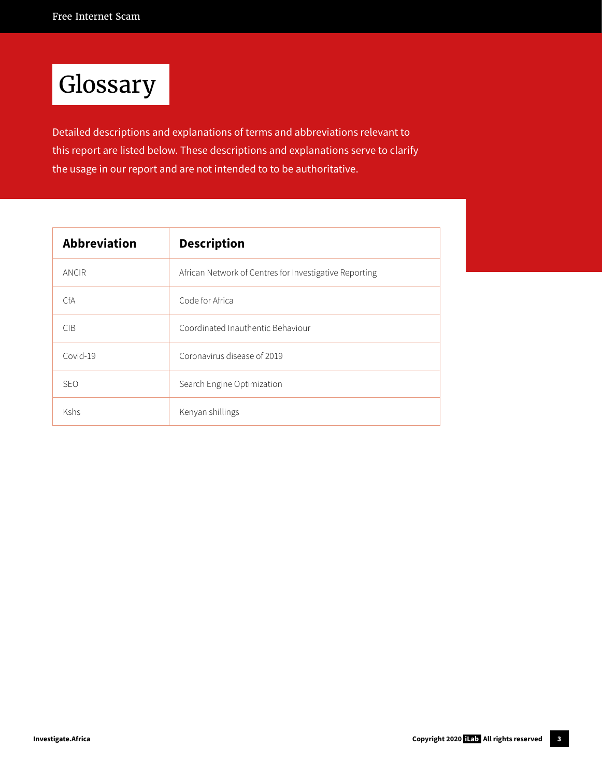# Glossary

Detailed descriptions and explanations of terms and abbreviations relevant to this report are listed below. These descriptions and explanations serve to clarify the usage in our report and are not intended to to be authoritative.

| <b>Abbreviation</b> | <b>Description</b>                                     |  |  |
|---------------------|--------------------------------------------------------|--|--|
| ANCIR               | African Network of Centres for Investigative Reporting |  |  |
| CfA.                | Code for Africa                                        |  |  |
| CIB.                | Coordinated Inauthentic Behaviour                      |  |  |
| Covid-19            | Coronavirus disease of 2019                            |  |  |
| <b>SEO</b>          | Search Engine Optimization                             |  |  |
| Kshs                | Kenyan shillings                                       |  |  |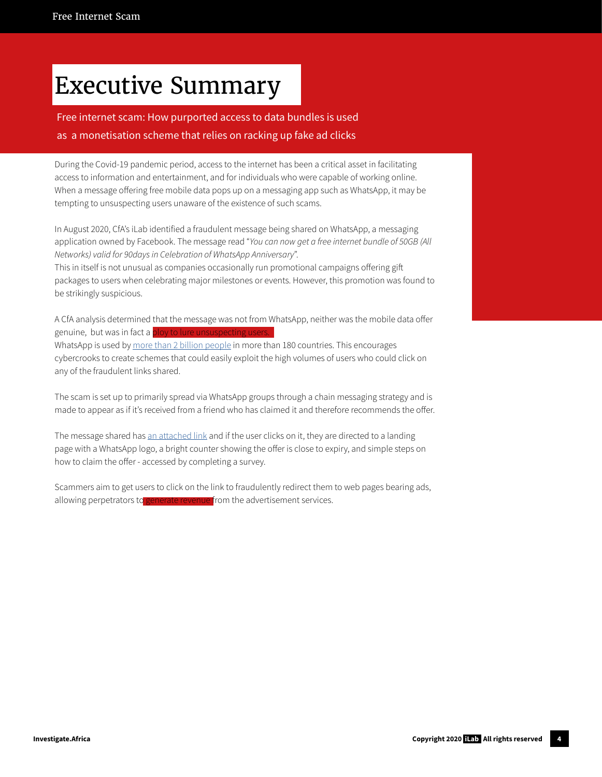### Executive Summary

### Free internet scam: How purported access to data bundles is used as a monetisation scheme that relies on racking up fake ad clicks

During the Covid-19 pandemic period, access to the internet has been a critical asset in facilitating access to information and entertainment, and for individuals who were capable of working online. When a message offering free mobile data pops up on a messaging app such as WhatsApp, it may be tempting to unsuspecting users unaware of the existence of such scams.

In August 2020, CfA's iLab identified a fraudulent message being shared on WhatsApp, a messaging application owned by Facebook. The message read "*You can now get a free internet bundle of 50GB (All Networks) valid for 90days in Celebration of WhatsApp Anniversary*".

This in itself is not unusual as companies occasionally run promotional campaigns offering gift packages to users when celebrating major milestones or events. However, this promotion was found to be strikingly suspicious.

A CfA analysis determined that the message was not from WhatsApp, neither was the mobile data offer genuine, but was in fact a **ploy to lure unsuspecting use** WhatsApp is used by [more than 2 billion people](https://www.whatsapp.com/about/) in more than 180 countries. This encourages cybercrooks to create schemes that could easily exploit the high volumes of users who could click on any of the fraudulent links shared.

The scam is set up to primarily spread via WhatsApp groups through a chain messaging strategy and is made to appear as if it's received from a friend who has claimed it and therefore recommends the offer.

The message shared has [an attached link](https://web.archive.org/web/20200819094037/https://whatsapp.freeinternetoffer.xyz/) and if the user clicks on it, they are directed to a landing page with a WhatsApp logo, a bright counter showing the offer is close to expiry, and simple steps on how to claim the offer - accessed by completing a survey.

Scammers aim to get users to click on the link to fraudulently redirect them to web pages bearing ads, allowing perpetrators to generate revenue from the advertisement services.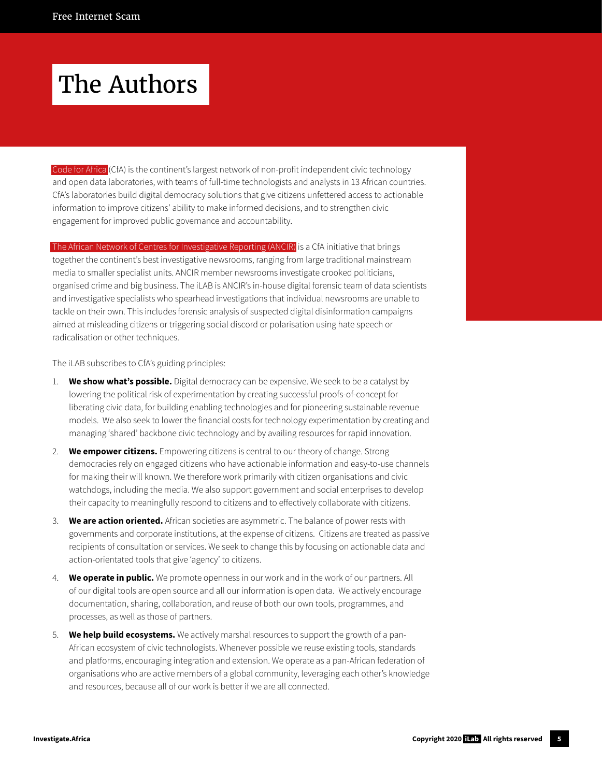### The Authors

[Code for Africa](https://github.com/CodeForAfrica) (CfA) is the continent's largest network of non-profit independent civic technology and open data laboratories, with teams of full-time technologists and analysts in 13 African countries. CfA's laboratories build digital democracy solutions that give citizens unfettered access to actionable information to improve citizens' ability to make informed decisions, and to strengthen civic engagement for improved public governance and accountability.

[The African Network of Centres for Investigative Reporting \(ANCIR\)](http://investigate.africa/) is a CfA initiative that brings together the continent's best investigative newsrooms, ranging from large traditional mainstream media to smaller specialist units. ANCIR member newsrooms investigate crooked politicians, organised crime and big business. The iLAB is ANCIR's in-house digital forensic team of data scientists and investigative specialists who spearhead investigations that individual newsrooms are unable to tackle on their own. This includes forensic analysis of suspected digital disinformation campaigns aimed at misleading citizens or triggering social discord or polarisation using hate speech or radicalisation or other techniques.

The iLAB subscribes to CfA's guiding principles:

- 1. **We show what's possible.** Digital democracy can be expensive. We seek to be a catalyst by lowering the political risk of experimentation by creating successful proofs-of-concept for liberating civic data, for building enabling technologies and for pioneering sustainable revenue models. We also seek to lower the financial costs for technology experimentation by creating and managing 'shared' backbone civic technology and by availing resources for rapid innovation.
- 2. **We empower citizens.** Empowering citizens is central to our theory of change. Strong democracies rely on engaged citizens who have actionable information and easy-to-use channels for making their will known. We therefore work primarily with citizen organisations and civic watchdogs, including the media. We also support government and social enterprises to develop their capacity to meaningfully respond to citizens and to effectively collaborate with citizens.
- 3. **We are action oriented.** African societies are asymmetric. The balance of power rests with governments and corporate institutions, at the expense of citizens. Citizens are treated as passive recipients of consultation or services. We seek to change this by focusing on actionable data and action-orientated tools that give 'agency' to citizens.
- 4. **We operate in public.** We promote openness in our work and in the work of our partners. All of our digital tools are open source and all our information is open data. We actively encourage documentation, sharing, collaboration, and reuse of both our own tools, programmes, and processes, as well as those of partners.
- 5. **We help build ecosystems.** We actively marshal resources to support the growth of a pan-African ecosystem of civic technologists. Whenever possible we reuse existing tools, standards and platforms, encouraging integration and extension. We operate as a pan-African federation of organisations who are active members of a global community, leveraging each other's knowledge and resources, because all of our work is better if we are all connected.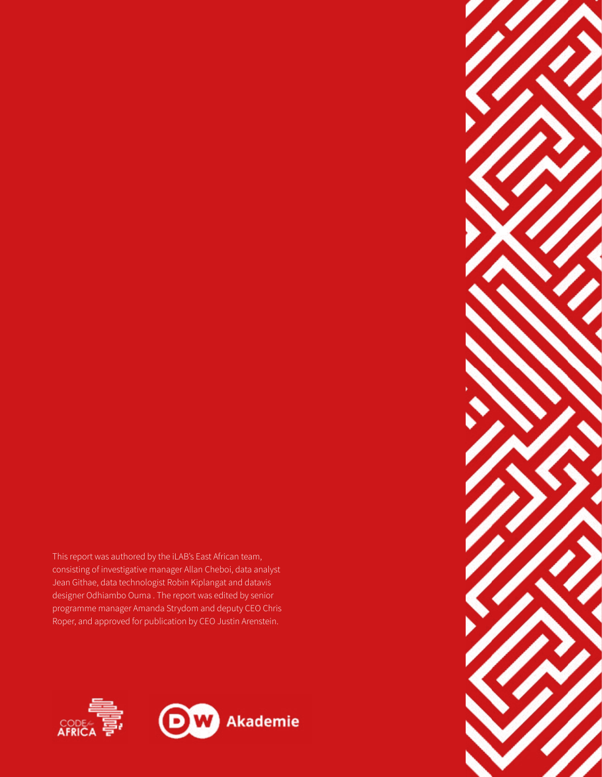This report was authored by the iLAB's East African team, consisting of investigative manager Allan Cheboi, data analyst Jean Githae, data technologist Robin Kiplangat and datavis designer Odhiambo Ouma . The report was edited by senior programme manager Amanda Strydom and deputy CEO Chris Roper, and approved for publication by CEO Justin Arenstein.



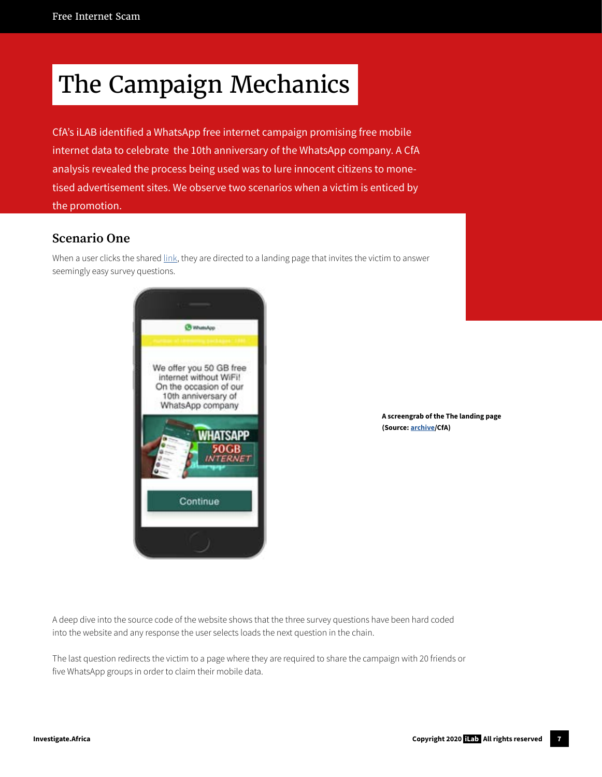# The Campaign Mechanics

CfA's iLAB identified a WhatsApp free internet campaign promising free mobile internet data to celebrate the 10th anniversary of the WhatsApp company. A CfA analysis revealed the process being used was to lure innocent citizens to monetised advertisement sites. We observe two scenarios when a victim is enticed by the promotion.

#### **Scenario One**

When a user clicks the shared [link](https://web.archive.org/web/20200819094037/https://whatsapp.freeinternetoffer.xyz/), they are directed to a landing page that invites the victim to answer seemingly easy survey questions.



**A screengrab of the The landing page (Source: [archive/](https://web.archive.org/web/20200819094037/https://whatsapp.freeinternetoffer.xyz/)CfA)** 

A deep dive into the source code of the website shows that the three survey questions have been hard coded into the website and any response the user selects loads the next question in the chain.

The last question redirects the victim to a page where they are required to share the campaign with 20 friends or five WhatsApp groups in order to claim their mobile data.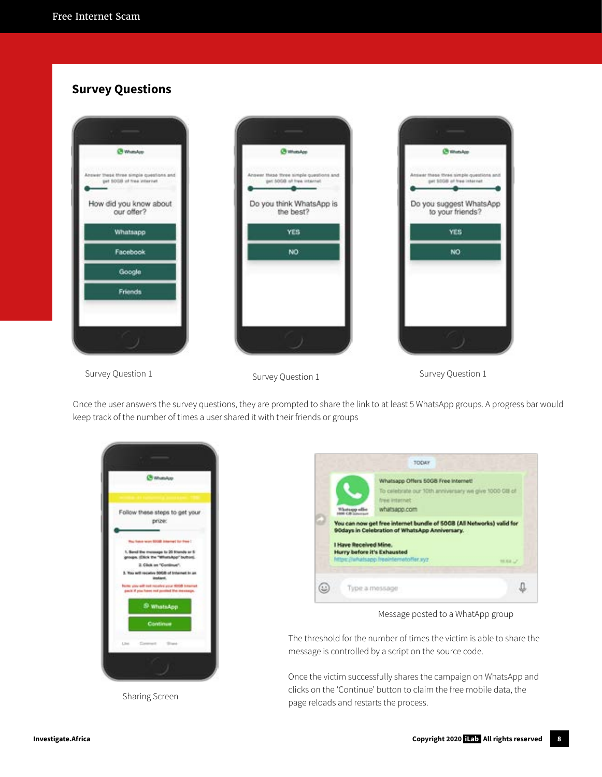### **Survey Questions**







Survey Question 1 Survey Question 1 Survey Question 1 Survey Question 1

Once the user answers the survey questions, they are prompted to share the link to at least 5 WhatsApp groups. A progress bar would keep track of the number of times a user shared it with their friends or groups







Message posted to a WhatApp group

The threshold for the number of times the victim is able to share the message is controlled by a script on the source code.

Once the victim successfully shares the campaign on WhatsApp and clicks on the 'Continue' button to claim the free mobile data, the page reloads and restarts the process.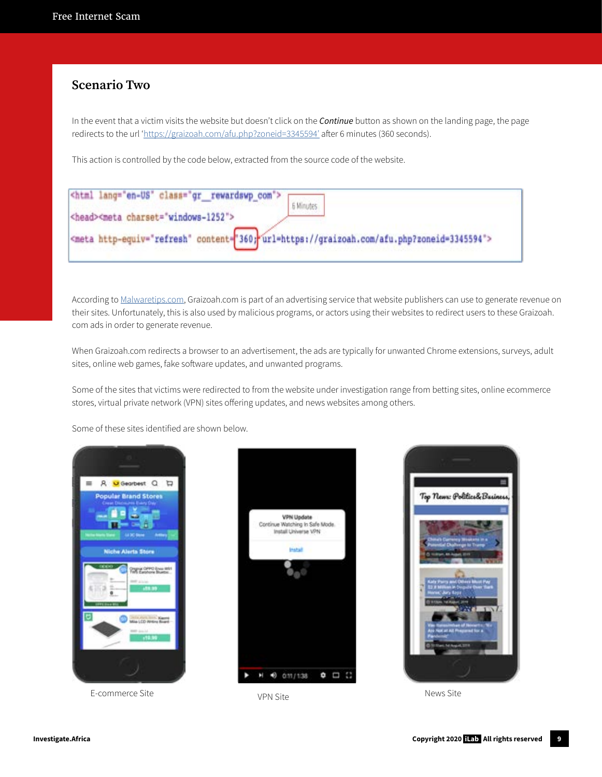### **Scenario Two**

In the event that a victim visits the website but doesn't click on the *Continue* button as shown on the landing page, the page redirects to the url '[https://graizoah.com/afu.php?zoneid=3345594'](https://graizoah.com/afu.php?zoneid=3345594’) after 6 minutes (360 seconds).

This action is controlled by the code below, extracted from the source code of the website.

| <html class="gr_rewardswp_com" lang="en-US"> <math>\sqsubset</math><br/><head><meta charset="utf-8"/></head></html> | 6 Minutes |
|---------------------------------------------------------------------------------------------------------------------|-----------|
| <meta content="360; url=https://graizoah.com/afu.php?zoneid=3345594" http-equiv="refresh"/>                         |           |

According to [Malwaretips.com](http://Malwaretips.com), Graizoah.com is part of an advertising service that website publishers can use to generate revenue on their sites. Unfortunately, this is also used by malicious programs, or actors using their websites to redirect users to these Graizoah. com ads in order to generate revenue.

When Graizoah.com redirects a browser to an advertisement, the ads are typically for unwanted Chrome extensions, surveys, adult sites, online web games, fake software updates, and unwanted programs.

Some of the sites that victims were redirected to from the website under investigation range from betting sites, online ecommerce stores, virtual private network (VPN) sites offering updates, and news websites among others.

Some of these sites identified are shown below.





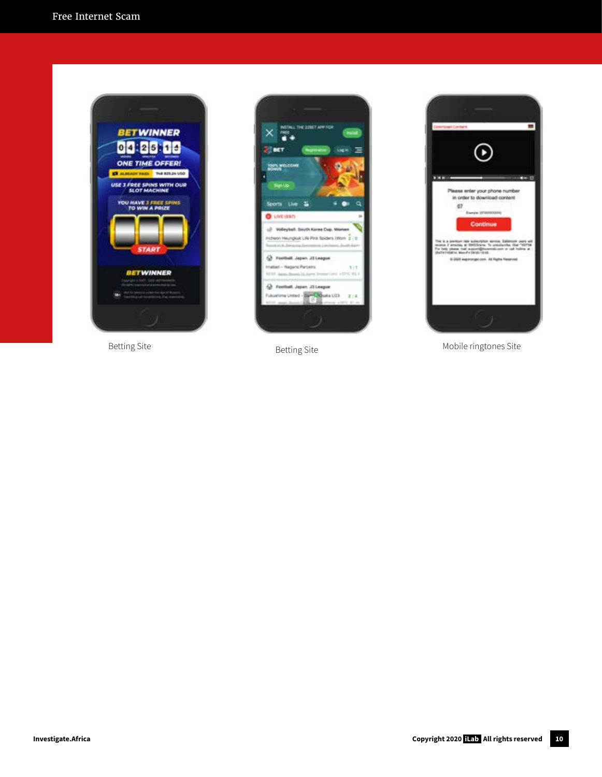







Betting Site **Betting Site** Betting Site **Betting Site** Mobile ringtones Site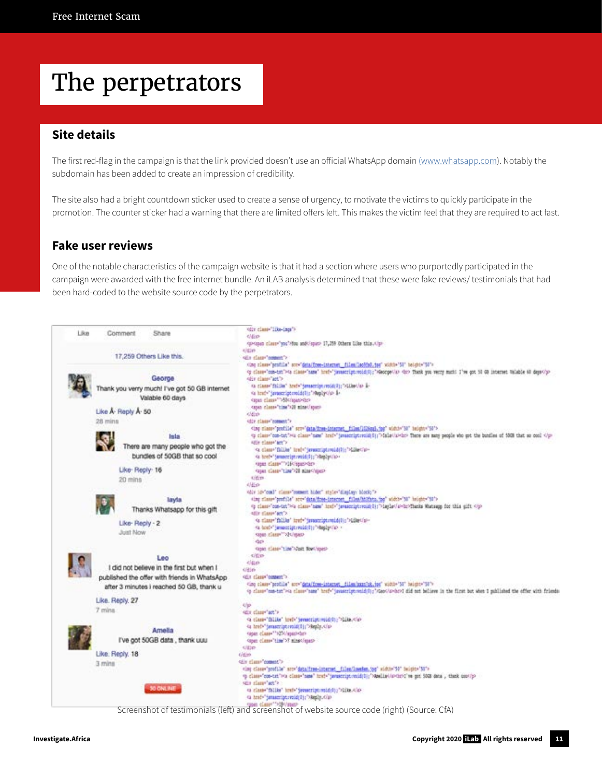# The perpetrators

#### **Site details**

The first red-flag in the campaign is that the link provided doesn't use an official WhatsApp domain [\(www.whatsapp.com](http://(www.whatsapp.com)). Notably the subdomain has been added to create an impression of credibility.

The site also had a bright countdown sticker used to create a sense of urgency, to motivate the victims to quickly participate in the promotion. The counter sticker had a warning that there are limited offers left. This makes the victim feel that they are required to act fast.

#### **Fake user reviews**

One of the notable characteristics of the campaign website is that it had a section where users who purportedly participated in the campaign were awarded with the free internet bundle. An iLAB analysis determined that these were fake reviews/ testimonials that had been hard-coded to the website source code by the perpetrators.



Screenshot of testimonials (left) and screenshot of website source code (right) (Source: CfA)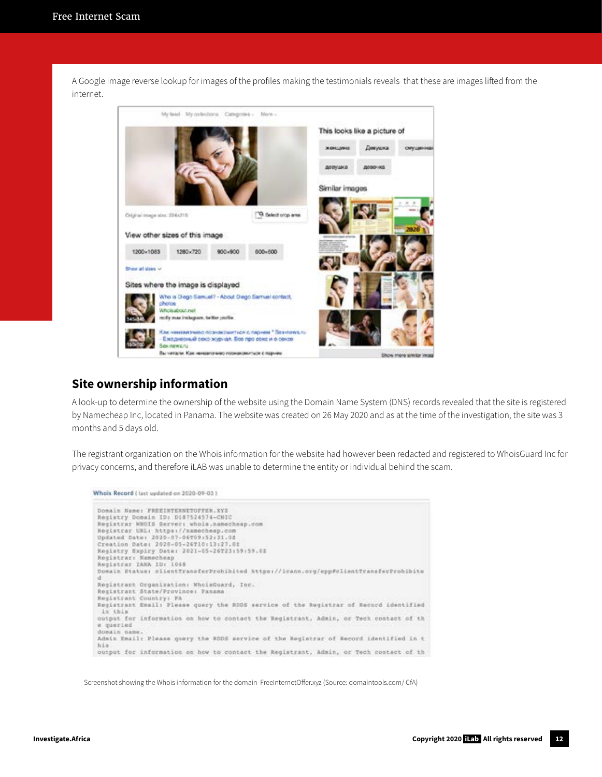A Google image reverse lookup for images of the profiles making the testimonials reveals that these are images lifted from the internet.



#### **Site ownership information**

A look-up to determine the ownership of the website using the Domain Name System (DNS) records revealed that the site is registered by Namecheap Inc, located in Panama. The website was created on 26 May 2020 and as at the time of the investigation, the site was 3 months and 5 days old.

The registrant organization on the Whois information for the website had however been redacted and registered to WhoisGuard Inc for privacy concerns, and therefore iLAB was unable to determine the entity or individual behind the scam.

```
Whols Record ( last updated on 2020-09-01)
 Donaln Name: FREEINTERNETOFFER.XYE
 Registry Domain ID: D187524574-CNIC
 Registrar WROIS Server: whois.namecheap.com<br>Registrar URL: https://namecheap.com
 Updated Date: 2020-07-06T09:52:31.02<br>Creation Date: 2020-05-26T10:13:27.02
 Registry Expiry Date: 2021-05-26723:59:59.02
 Registrar: Namechaap<br>Registrar IANA ID: 1048
 Domain Status: clientTransforProhibited https://icann.org/opp#clientTransferProhibite
 Registrant Organization: WhoisGuard, Inc.
 Registrant State/Province: Panama
 Registrant Country: PA
 Registrant Email: Please query the RDDS service of the Registrar of Record identified
 in this
 output for information on how to contact the Registrant, Admin, or Tech contact of th
 e queried
 domain nam
 Admin Email: Please query the RDDS service of the Registrar of Record identified in t
 315.8output for information on how to contact the Registrant, Admin, or Tech contact of th
```
Screenshot showing the Whois information for the domain FreeInternetOffer.xyz (Source: domaintools.com/ CfA)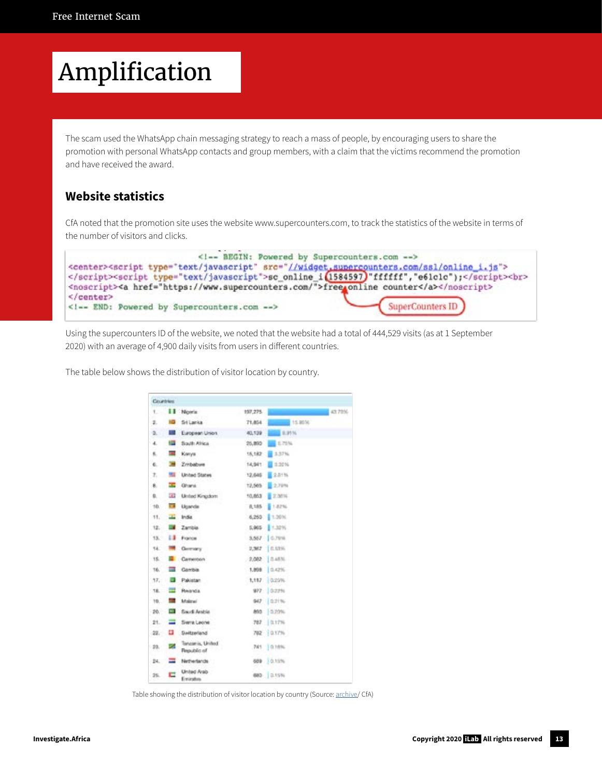# Amplification

The scam used the WhatsApp chain messaging strategy to reach a mass of people, by encouraging users to share the promotion with personal WhatsApp contacts and group members, with a claim that the victims recommend the promotion and have received the award.

### **Website statistics**

CfA noted that the promotion site uses the website www.supercounters.com, to track the statistics of the website in terms of the number of visitors and clicks.

```
<1-- BEGIN: Powered by Supercounters.com -->
<center><script type="text/javascript" src="//widget_supercounters.com/ssl/online_i.js">
</script><script type="text/javascript">sc_online_i(1584597)"ffffff","e61clc");</script><br>
<noscript><a href="https://www.supercounters.com/">free_online counter</a></noscript>
\le/center>
                                                                 SuperCounters ID
<1 -- END: Powered by Supercounters.com -- >
```
Using the supercounters ID of the website, we noted that the website had a total of 444,529 visits (as at 1 September 2020) with an average of 4,900 daily visits from users in different countries.

The table below shows the distribution of visitor location by country.

|        | Countries        |                                 |         |             |        |
|--------|------------------|---------------------------------|---------|-------------|--------|
| 1.     |                  | <b>II</b> Norte                 | 197,275 |             | 43 78% |
| 2.     | 82.              | Sri Lanka                       | 71,854  | 15.95%      |        |
| s.     | <b>All And</b>   | <b>European Union</b>           | 40,139  | 1.91%       |        |
| 4.     | <b>Cold</b>      | South Africa                    | 25,890  | E.75%       |        |
| к.     | 201              | Kanya:                          | 15,182  | 1,57%       |        |
| 6.     | <b>The State</b> | Zmbabwe                         | 14,941  | 1,30%       |        |
| з.     | ш                | <b>United States</b>            | 12,646  | 2.81%       |        |
| в.     |                  | <b>Chara</b>                    | 12,565  | 2,79%       |        |
| Ð.     | GG 2             | Unlad Kingdom                   | 10,853  | 日文加河        |        |
| 10.    | C.               | Ugarda                          | 8,185   | \$1,82%     |        |
| 11.    | <b>COL</b>       | India                           | 6,250   | 1.3006      |        |
| 12.    |                  | <b>2</b> Zanbia                 |         | 5,965 T.32% |        |
| 13.    |                  | <b>Ed France</b>                |         | 3,557 C.79% |        |
| 14.    | ≖                | Commerci                        |         | 2.362 自加味   |        |
| 15.    |                  | Carveron                        |         | 2,082 0.45% |        |
| 16.    |                  | <b>Carrole</b>                  |         | 1,808 0.42% |        |
| 77.7   |                  | <b>B</b> Pakistan               |         | 1,117 0.25% |        |
| 78.    |                  | <b>HASNEY</b>                   |         | 977 0.22%   |        |
| 19.    | <b>COL</b>       | Makrai                          |         | 947 0.21%   |        |
| -20.   |                  | <b>Band Andre</b>               |         | 890 0.70%   |        |
| 21.    |                  | Sierra Leone                    |         | 787 红灯照     |        |
| $-22.$ | ٠                | Switzerland                     |         | 702 0.17%   |        |
| $-23.$ | z.               | Tanzania, United<br>Republic of |         | 741 0.18%   |        |
| 24.    | ≕                | Netherlands                     |         | 609 10.15%  |        |
| 25.    | с                | United Arab<br>Enviration       |         | 880 235%    |        |

Table showing the distribution of visitor location by country (Source: [archive](https://archive.is/vKWBi)/ CfA)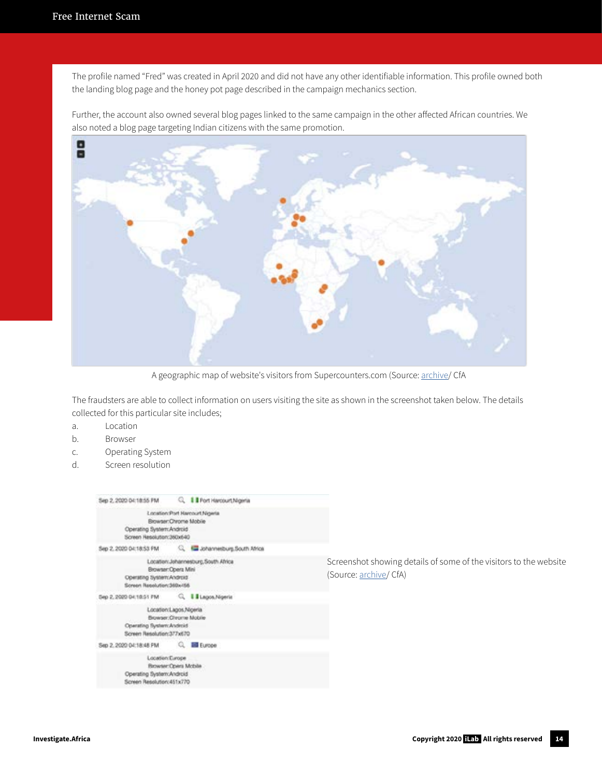The profile named "Fred" was created in April 2020 and did not have any other identifiable information. This profile owned both the landing blog page and the honey pot page described in the campaign mechanics section.

Further, the account also owned several blog pages linked to the same campaign in the other affected African countries. We also noted a blog page targeting Indian citizens with the same promotion.



A geographic map of website's visitors from Supercounters.com (Source: [archive/](https://archive.is/baFYG) CfA

The fraudsters are able to collect information on users visiting the site as shown in the screenshot taken below. The details collected for this particular site includes;

- a. Location
- b. Browser
- c. Operating System
- d. Screen resolution

| Sep 2, 2020 Dr. 18:55 PM                                                                                   | Q. I Port Harcourt, Nigeria          |   |
|------------------------------------------------------------------------------------------------------------|--------------------------------------|---|
| Browser:Chrome Mobile<br>Operating System: Android<br>Screen Resolution:360x640                            | Location:Port Harcourt Nigeria       |   |
|                                                                                                            |                                      |   |
| Browser: Opera Mini<br>Operating System:Android<br>Screen Resolution;360x-56                               | Location: Johannesburg, South Africa | C |
| Sep 2, 2020 04:18:51 FM Q   Lagos Nigeria                                                                  |                                      |   |
| Location:Lagos.Nigeria<br>Browser Chrome Mobile<br>Operating System: Android<br>Screen Resolution:377x670  |                                      |   |
| Sep 2, 2020 04:18:48 PM CL IM Europe                                                                       |                                      |   |
| Location: Europe<br><b>Browser: Opera Mcbile</b><br>Operating System:Android<br>Screen Resolution: 451x770 |                                      |   |

Screenshot showing details of some of the visitors to the website (Source: [archive](https://archive.is/85lXi)/ CfA)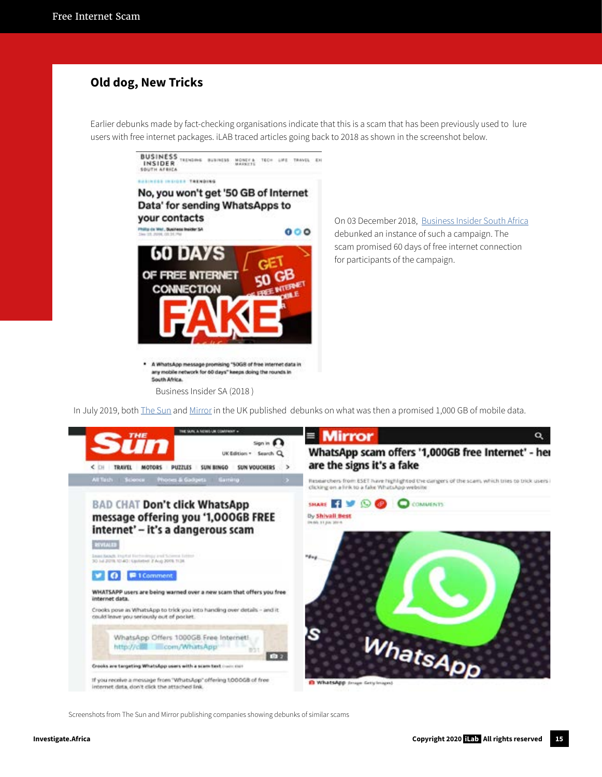#### **Old dog, New Tricks**

Earlier debunks made by fact-checking organisations indicate that this is a scam that has been previously used to lure users with free internet packages. iLAB traced articles going back to 2018 as shown in the screenshot below.



Business Insider SA (2018 )

South Africa.

On 03 December 2018, [Business Insider South Africa](http://Business Insider South Africa) debunked an instance of such a campaign. The scam promised 60 days of free internet connection for participants of the campaign.

In July 2019, both [The Sun](https://www.thesun.co.uk/tech/9614378/whatsapp-1000gb-free-internet-text/) and [Mirror](https://www.mirror.co.uk/tech/whatsapp-scam-offers-1000gb-free-18803606) in the UK published debunks on what was then a promised 1,000 GB of mobile data.



Screenshots from The Sun and Mirror publishing companies showing debunks of similar scams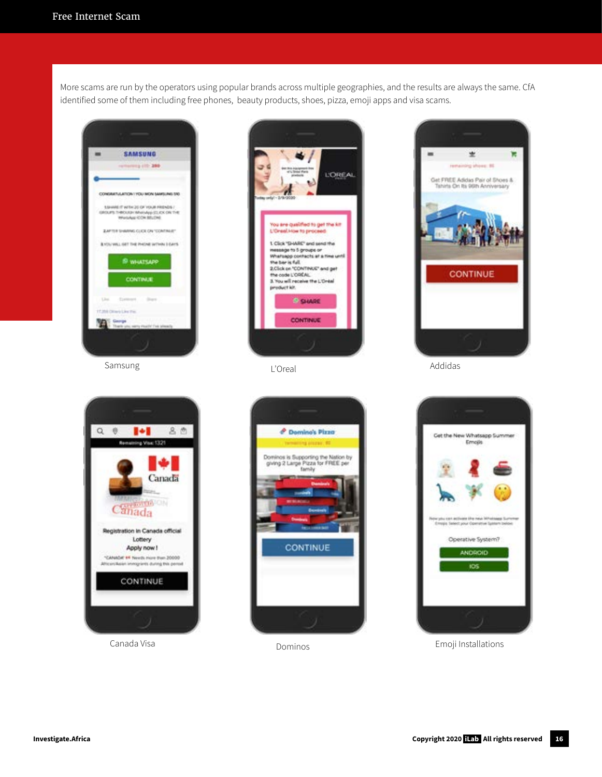More scams are run by the operators using popular brands across multiple geographies, and the results are always the same. CfA identified some of them including free phones, beauty products, shoes, pizza, emoji apps and visa scams.













Canada Visa **Canada Visa Emoji Installations Emoji Installations**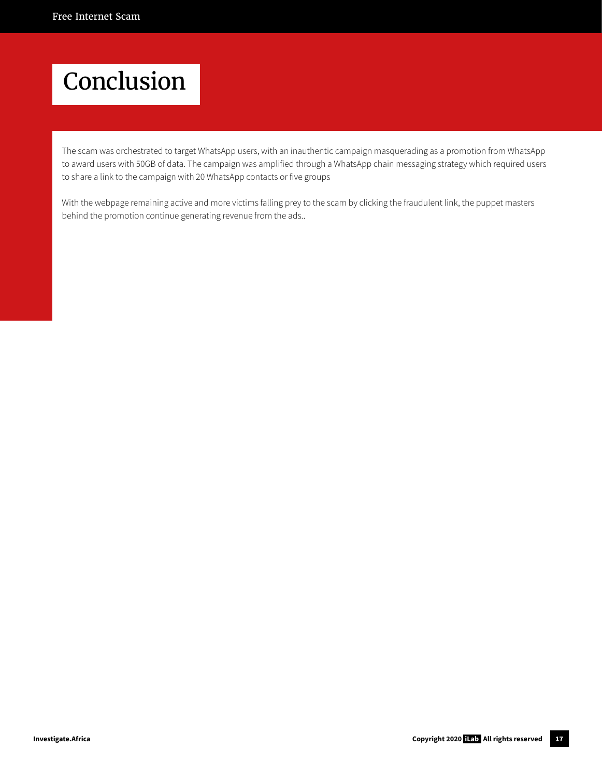### Conclusion

The scam was orchestrated to target WhatsApp users, with an inauthentic campaign masquerading as a promotion from WhatsApp to award users with 50GB of data. The campaign was amplified through a WhatsApp chain messaging strategy which required users to share a link to the campaign with 20 WhatsApp contacts or five groups

With the webpage remaining active and more victims falling prey to the scam by clicking the fraudulent link, the puppet masters behind the promotion continue generating revenue from the ads..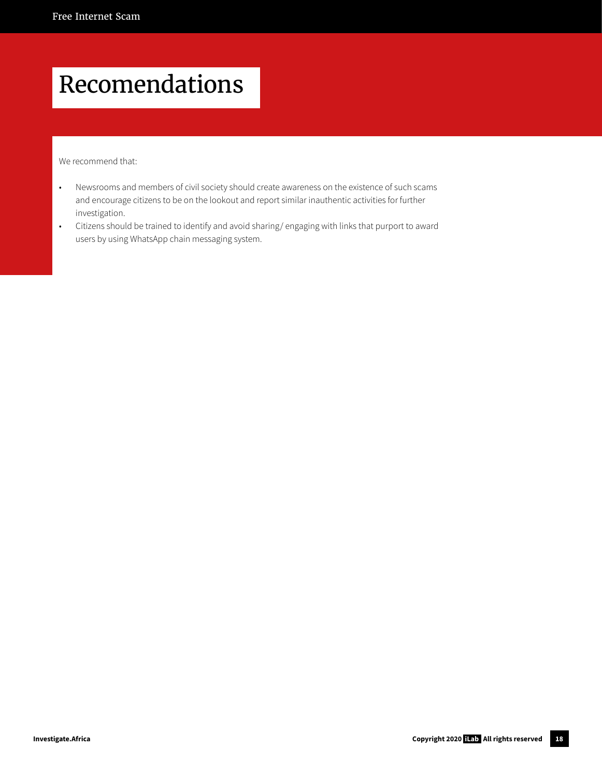## Recomendations

We recommend that:

- Newsrooms and members of civil society should create awareness on the existence of such scams and encourage citizens to be on the lookout and report similar inauthentic activities for further investigation.
- Citizens should be trained to identify and avoid sharing/ engaging with links that purport to award users by using WhatsApp chain messaging system.